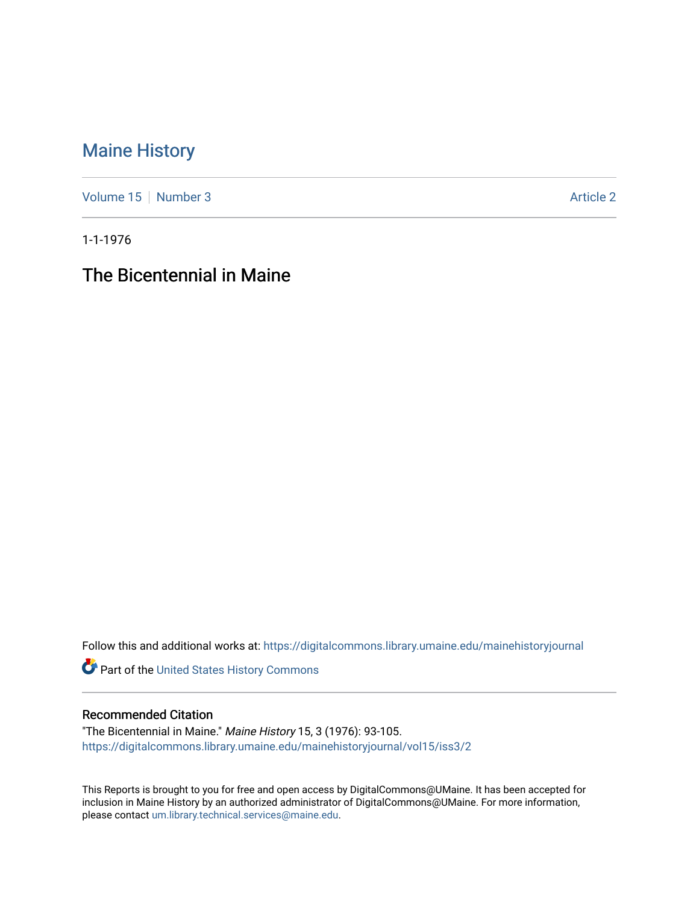# [Maine History](https://digitalcommons.library.umaine.edu/mainehistoryjournal)

[Volume 15](https://digitalcommons.library.umaine.edu/mainehistoryjournal/vol15) [Number 3](https://digitalcommons.library.umaine.edu/mainehistoryjournal/vol15/iss3) Article 2

1-1-1976

# The Bicentennial in Maine

Follow this and additional works at: [https://digitalcommons.library.umaine.edu/mainehistoryjournal](https://digitalcommons.library.umaine.edu/mainehistoryjournal?utm_source=digitalcommons.library.umaine.edu%2Fmainehistoryjournal%2Fvol15%2Fiss3%2F2&utm_medium=PDF&utm_campaign=PDFCoverPages) 

Part of the [United States History Commons](http://network.bepress.com/hgg/discipline/495?utm_source=digitalcommons.library.umaine.edu%2Fmainehistoryjournal%2Fvol15%2Fiss3%2F2&utm_medium=PDF&utm_campaign=PDFCoverPages) 

#### Recommended Citation

"The Bicentennial in Maine." Maine History 15, 3 (1976): 93-105. [https://digitalcommons.library.umaine.edu/mainehistoryjournal/vol15/iss3/2](https://digitalcommons.library.umaine.edu/mainehistoryjournal/vol15/iss3/2?utm_source=digitalcommons.library.umaine.edu%2Fmainehistoryjournal%2Fvol15%2Fiss3%2F2&utm_medium=PDF&utm_campaign=PDFCoverPages)

This Reports is brought to you for free and open access by DigitalCommons@UMaine. It has been accepted for inclusion in Maine History by an authorized administrator of DigitalCommons@UMaine. For more information, please contact [um.library.technical.services@maine.edu.](mailto:um.library.technical.services@maine.edu)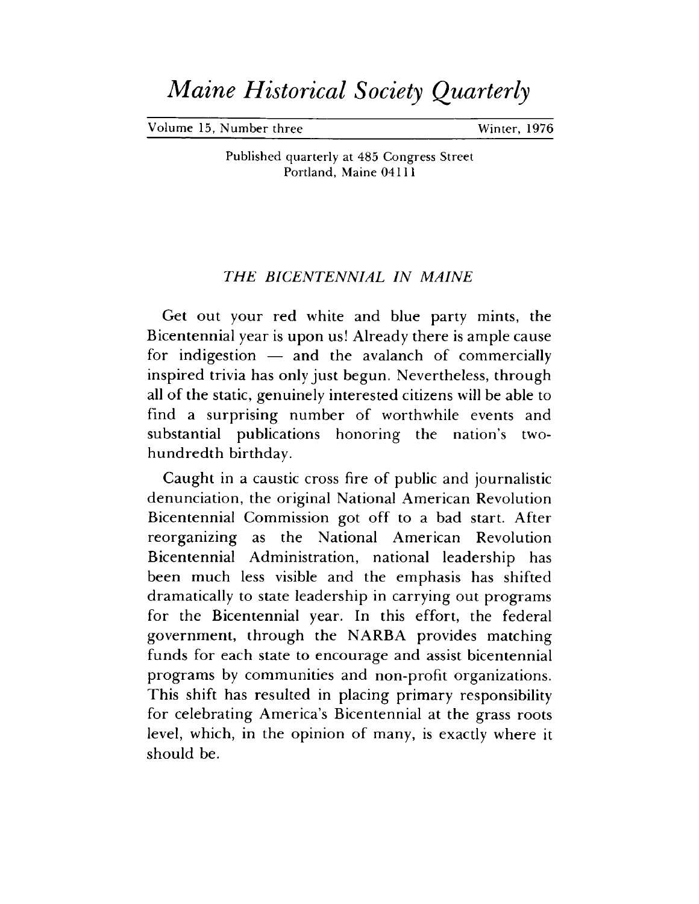# *Maine Historical Society Quarterly*

Volume 15, Number three Winter, 1976

Published quarterly at 485 Congress Street Portland, Maine 04111

#### *THE BICENTENNIAL IN MAINE*

Get out your red white and blue party mints, the Bicentennial year is upon us! Already there is ample cause for indigestion — and the avalanch of commercially inspired trivia has only just begun. Nevertheless, through all of the static, genuinely interested citizens will be able to find a surprising number of worthwhile events and substantial publications honoring the nation's twohundredth birthday.

Caught in a caustic cross fire of public and journalistic denunciation, the original National American Revolution Bicentennial Commission got off to a bad start. After reorganizing as the National American Revolution Bicentennial Administration, national leadership has been much less visible and the emphasis has shifted dramatically to state leadership in carrying out programs for the Bicentennial year. In this effort, the federal government, through the NARBA provides matching funds for each state to encourage and assist bicentennial programs by communities and non-profit organizations. This shift has resulted in placing primary responsibility for celebrating America's Bicentennial at the grass roots level, which, in the opinion of many, is exactly where it should be.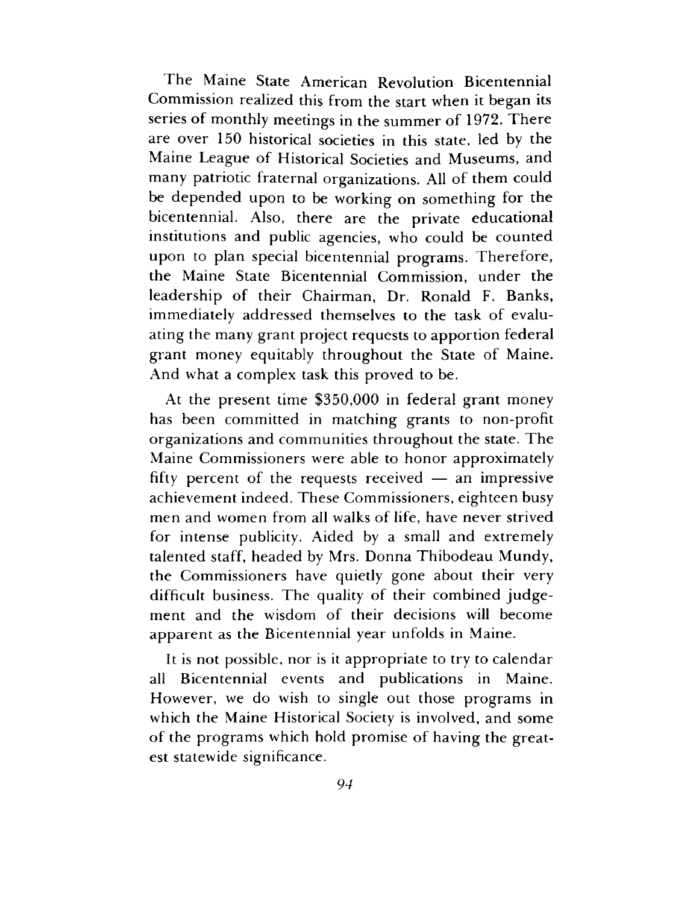The Maine State American Revolution Bicentennial Commission realized this from the start when it began its series of monthly meetings in the summer of 1972. There are over 150 historical societies in this state, led by the Maine League of Historical Societies and Museums, and many patriotic fraternal organizations. All of them could be depended upon to be working on something for the bicentennial. Also, there are the private educational institutions and public agencies, who could be counted upon to plan special bicentennial programs. Therefore, the Maine State Bicentennial Commission, under the leadership of their Chairman, Dr. Ronald F. Banks, immediately addressed themselves to the task of evaluating the many grant project requests to apportion federal grant money equitably throughout the State of Maine. And what a complex task this proved to be.

At the present time \$350,000 in federal grant money has been committed in matching grants to non-profit organizations and communities throughout the state. The Maine Commissioners were able to honor approximately fifty percent of the requests received — an impressive achievement indeed. These Commissioners, eighteen busy men and women from all walks of life, have never strived for intense publicity. Aided by a small and extremely talented staff, headed by Mrs. Donna Thibodeau Mundy, the Commissioners have quietly gone about their very difficult business. The quality of their combined judgement and the wisdom of their decisions will become apparent as the Bicentennial year unfolds in Maine.

It is not possible, nor is it appropriate to try to calendar all Bicentennial events and publications in Maine. However, we do wish to single out those programs in which the Maine Historical Society is involved, and some of the programs which hold promise of having the greatest statewide significance.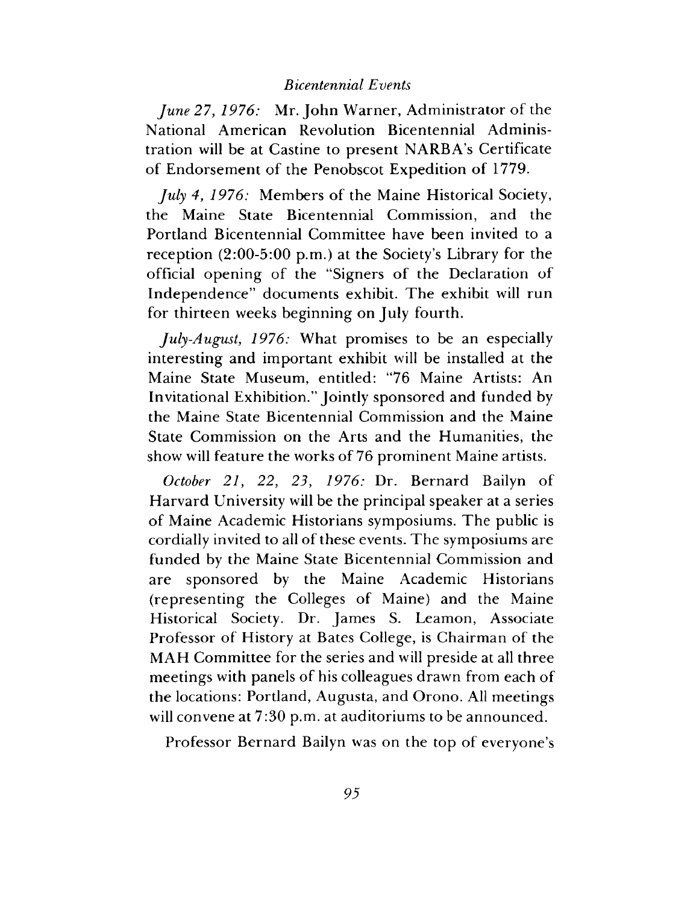#### *Bicentennial Events*

*June 27, 1976:* Mr. John Warner, Administrator of the National American Revolution Bicentennial Administration will be at Castine to present NARBA's Certificate of Endorsement of the Penobscot Expedition of 1779.

*July 4, 1976:* Members of the Maine Historical Society, the Maine State Bicentennial Commission, and the Portland Bicentennial Committee have been invited to a reception (2:00-5:00 p.m.) at the Society's Library for the official opening of the "Signers of the Declaration of Independence" documents exhibit. The exhibit will run for thirteen weeks beginning on July fourth.

*July-August, 1976:* What promises to be an especially interesting and important exhibit will be installed at the Maine State Museum, entitled: "76 Maine Artists: An Invitational Exhibition." Jointly sponsored and funded by the Maine State Bicentennial Commission and the Maine State Commission on the Arts and the Humanities, the show will feature the works of 76 prominent Maine artists.

*October 21, 22, 23, 1976:* Dr. Bernard Bailyn of Harvard University will be the principal speaker at a series of Maine Academic Historians symposiums. The public is cordially invited to all of these events. The symposiums are funded by the Maine State Bicentennial Commission and are sponsored by the Maine Academic Historians (representing the Colleges of Maine) and the Maine Historical Society. Dr. James S. Leamon, Associate Professor of History at Bates College, is Chairman of the MAH Committee for the series and will preside at all three meetings with panels of his colleagues drawn from each of the locations: Portland, Augusta, and Orono. All meetings will convene at 7:30 p.m. at auditoriums to be announced.

Professor Bernard Bailyn was on the top of everyone'<sup>s</sup>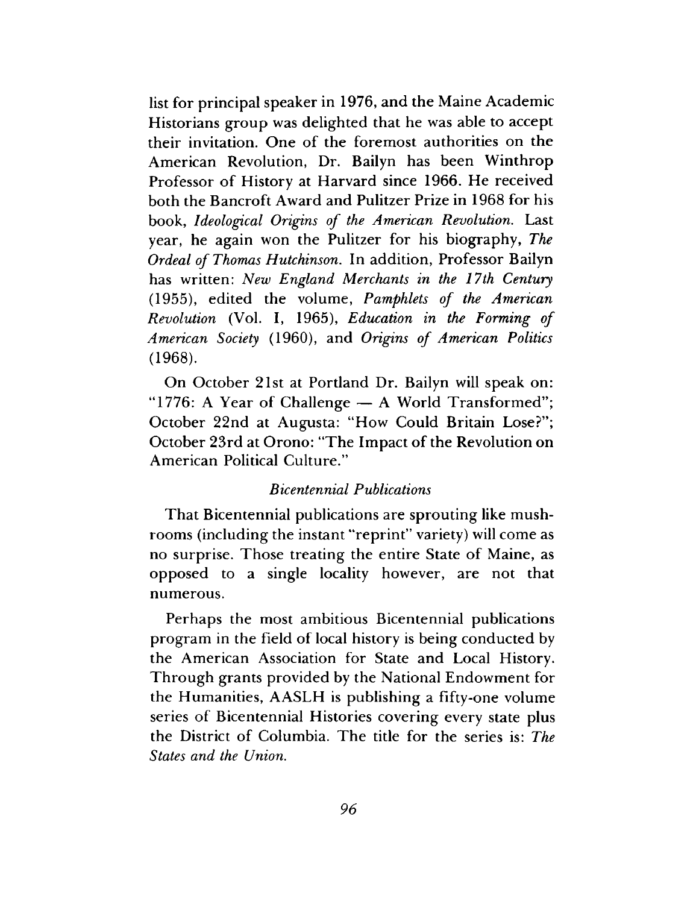list for principal speaker in 1976, and the Maine Academic Historians group was delighted that he was able to accept their invitation. One of the foremost authorities on the American Revolution, Dr. Bailyn has been Winthrop Professor of History at Harvard since 1966. He received both the Bancroft Award and Pulitzer Prize in 1968 for his book, *Ideological Origins of the American Revolution.* Last year, he again won the Pulitzer for his biography, *The Ordeal of Thomas Hutchinson.* In addition, Professor Bailyn has written: *New England Merchants in the 17th Century* (1955), edited the volume, *Pamphlets of the American Revolution* (Vol. I, 1965), *Education in the Forming of American Society* (1960), and *Origins of American Politics* (1968).

On October 21st at Portland Dr. Bailyn will speak on: "1776: A Year of Challenge — A World Transformed"; October 22nd at Augusta: "How Could Britain Lose?"; October 23rd at Orono: "The Impact of the Revolution on American Political Culture."

#### *Bicentennial Publications*

That Bicentennial publications are sprouting like mushrooms (including the instant "reprint" variety) will come as no surprise. Those treating the entire State of Maine, as opposed to a single locality however, are not that numerous.

Perhaps the most ambitious Bicentennial publications program in the field of local history is being conducted by the American Association for State and Local History. Through grants provided by the National Endowment for the Humanities, AASLH is publishing a fifty-one volume series of Bicentennial Histories covering every state plus the District of Columbia. The title for the series is: *The States and the Union.*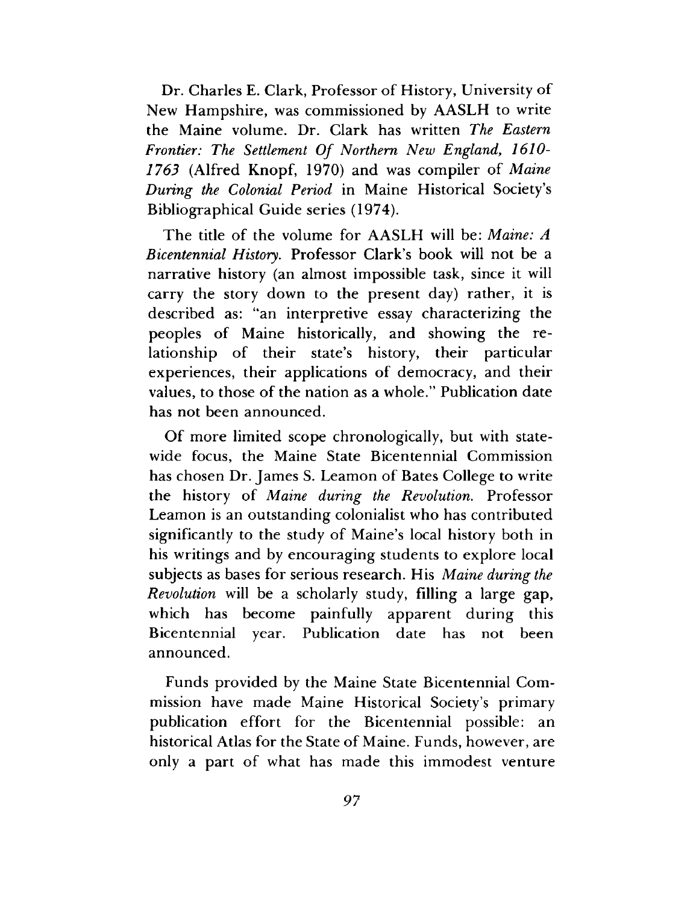Dr. Charles E. Clark, Professor of History, University of New Hampshire, was commissioned by AASLH to write the Maine volume. Dr. Clark has written *The Eastern Frontier: The Settlement Of Northern New England, 1610- 1763* (Alfred Knopf, 1970) and was compiler of *Maine During the Colonial Period* in Maine Historical Society's Bibliographical Guide series (1974).

The title of the volume for AASLH will be: *Maine: A Bicentennial History.* Professor Clark's book will not be a narrative history (an almost impossible task, since it will carry the story down to the present day) rather, it is described as: "an interpretive essay characterizing the peoples of Maine historically, and showing the relationship of their state's history, their particular experiences, their applications of democracy, and their values, to those of the nation as a whole." Publication date has not been announced.

Of more limited scope chronologically, but with statewide focus, the Maine State Bicentennial Commission has chosen Dr. James S. Leamon of Bates College to write the history of *Maine during the Revolution.* Professor Leamon is an outstanding colonialist who has contributed significantly to the study of Maine's local history both in his writings and by encouraging students to explore local subjects as bases for serious research. His *Maine during the Revolution* will be a scholarly study, filling a large gap, which has become painfully apparent during this Bicentennial year. Publication date has not been announced.

Funds provided by the Maine State Bicentennial Commission have made Maine Historical Society's primary publication effort for the Bicentennial possible: an historical Atlas for the State of Maine. Funds, however, are only a part of what has made this immodest venture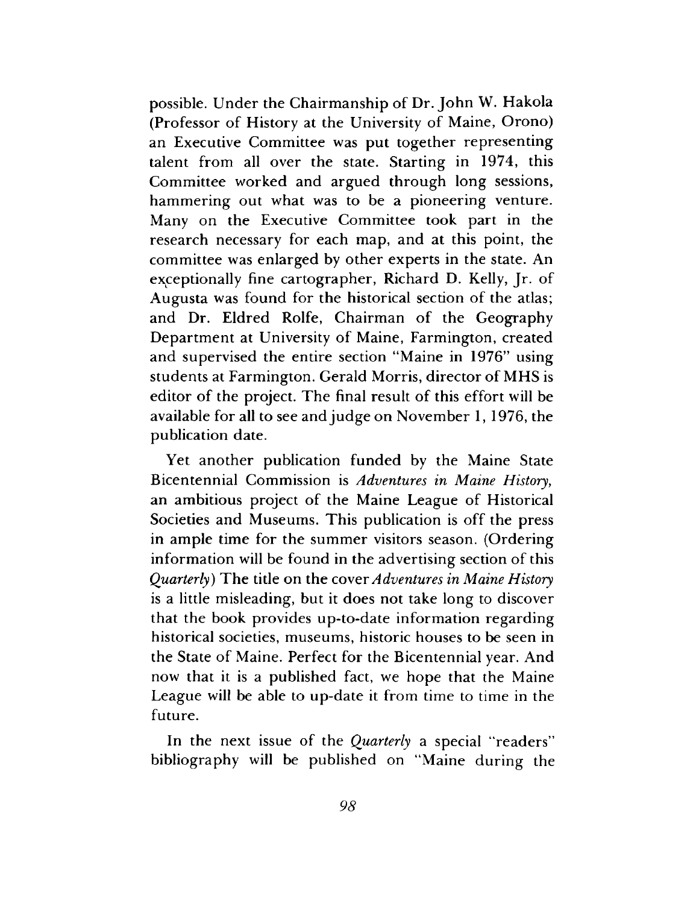possible. Under the Chairmanship of Dr. John W. Hakola (Professor of History at the University of Maine, Orono) an Executive Committee was put together representing talent from all over the state. Starting in 1974, this Committee worked and argued through long sessions, hammering out what was to be a pioneering venture. Many on the Executive Committee took part in the research necessary for each map, and at this point, the committee was enlarged by other experts in the state. An exceptionally fine cartographer, Richard D. Kelly, Jr. of Augusta was found for the historical section of the atlas; and Dr. Eldred Rolfe, Chairman of the Geography Department at University of Maine, Farmington, created and supervised the entire section "Maine in 1976" using students at Farmington. Gerald Morris, director of MHS is editor of the project. The final result of this effort will be available for all to see and judge on November 1, 1976, the publication date.

Yet another publication funded by the Maine State Bicentennial Commission is *Adventures in Maine History,* an ambitious project of the Maine League of Historical Societies and Museums. This publication is off the press in ample time for the summer visitors season. (Ordering information will be found in the advertising section of this *Quarterly)* The title on the cover*Adventures in Maine History* is a little misleading, but it does not take long to discover that the book provides up-to-date information regarding historical societies, museums, historic houses to be seen in the State of Maine. Perfect for the Bicentennial year. And now that it is a published fact, we hope that the Maine League will be able to up-date it from time to time in the future.

In the next issue of the *Quarterly* a special "readers" bibliography will be published on "Maine during the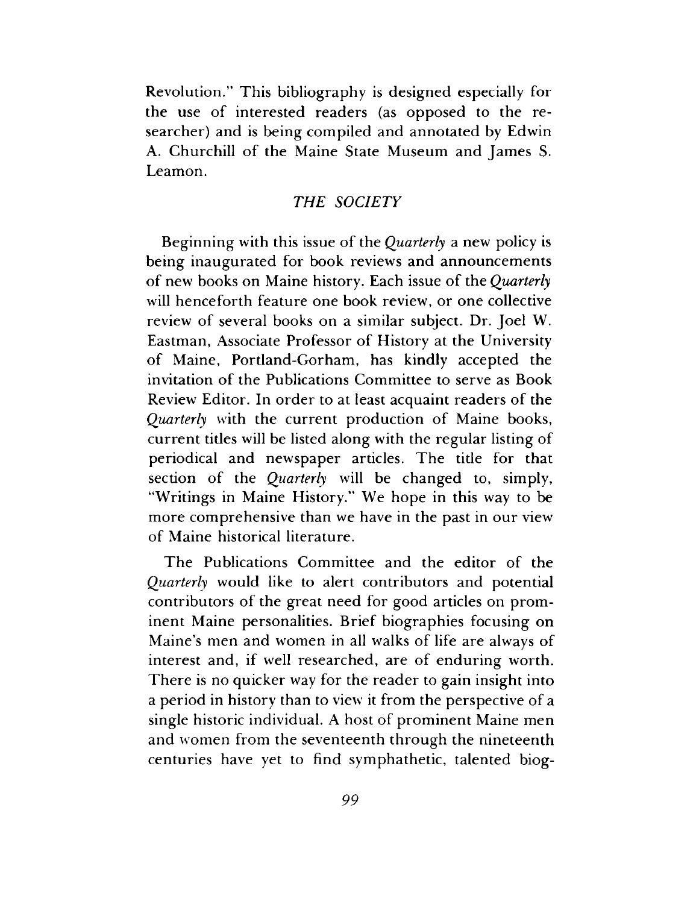Revolution." This bibliography is designed especially for the use of interested readers (as opposed to the researcher) and is being compiled and annotated by Edwin A. Churchill of the Maine State Museum and James S. Leamon.

## *THE SOCIETY*

Beginning with this issue of the *Quarterly* a new policy is being inaugurated for book reviews and announcements of new books on Maine history. Each issue of the *Quarterly* will henceforth feature one book review, or one collective review of several books on a similar subject. Dr. Joel W. Eastman, Associate Professor of History at the University of Maine, Portland-Gorham, has kindly accepted the invitation of the Publications Committee to serve as Book Review Editor. In order to at least acquaint readers of the *Quarterly* with the current production of Maine books, current titles will be listed along with the regular listing of periodical and newspaper articles. The title for that section of the *Quarterly* will be changed to, simply, "Writings in Maine History." We hope in this way to be more comprehensive than we have in the past in our view of Maine historical literature.

The Publications Committee and the editor of the *Quarterly* would like to alert contributors and potential contributors of the great need for good articles on prominent Maine personalities. Brief biographies focusing on Maine's men and women in all walks of life are always of interest and, if well researched, are of enduring worth. There is no quicker way for the reader to gain insight into a period in history than to view it from the perspective of a single historic individual. A host of prominent Maine men and women from the seventeenth through the nineteenth centuries have yet to find symphathetic, talented biog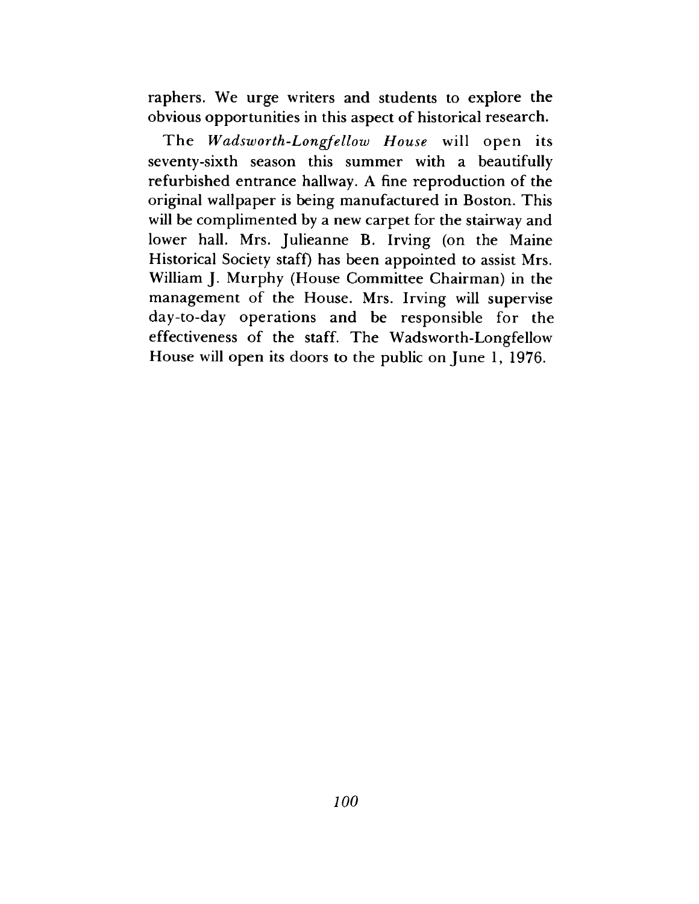raphers. We urge writers and students to explore the obvious opportunities in this aspect of historical research.

The *Wadsworth-Longfellow House* will open its seventy-sixth season this summer with a beautifully refurbished entrance hallway. A fine reproduction of the original wallpaper is being manufactured in Boston. This will be complimented by a new carpet for the stairway and lower hall. Mrs. Julieanne B. Irving (on the Maine Historical Society staff) has been appointed to assist Mrs. William J. Murphy (House Committee Chairman) in the management of the House. Mrs. Irving will supervise day-to-day operations and be responsible for the effectiveness of the staff. The Wadsworth-Longfellow House will open its doors to the public on June 1, 1976.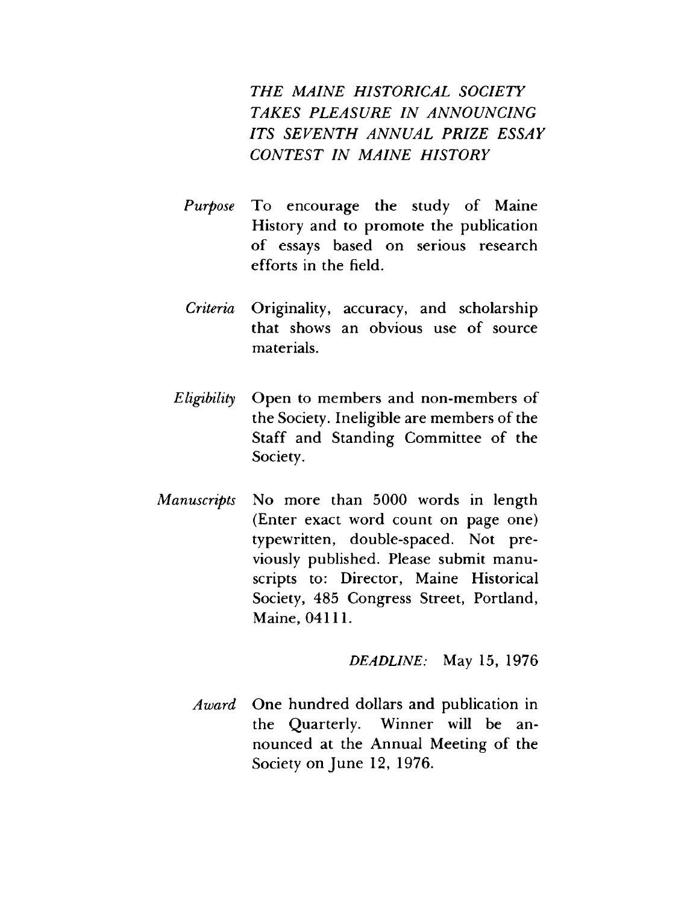*THE MAINE HISTORICAL SOCIETY TAKES PLEASURE IN ANNOUNCING ITS SEVENTH ANNUAL PRIZE ESSAY CONTEST IN MAINE HISTORY*

- *Purpose* To encourage the study of Maine History and to promote the publication of essays based on serious research efforts in the held.
- *Criteria* Originality, accuracy, and scholarship that shows an obvious use of source materials.
- *Eligibility* Open to members and non-members of the Society. Ineligible are members of the Staff and Standing Committee of the Society.
- *Manuscripts* No more than 5000 words in length (Enter exact word count on page one) typewritten, double-spaced. Not previously published. Please submit manuscripts to: Director, Maine Historical Society, 485 Congress Street, Portland, Maine, 04111.

*DEADLINE:* May 15, 1976

*Award* One hundred dollars and publication in the Quarterly. Winner will be announced at the Annual Meeting of the Society on June 12, 1976.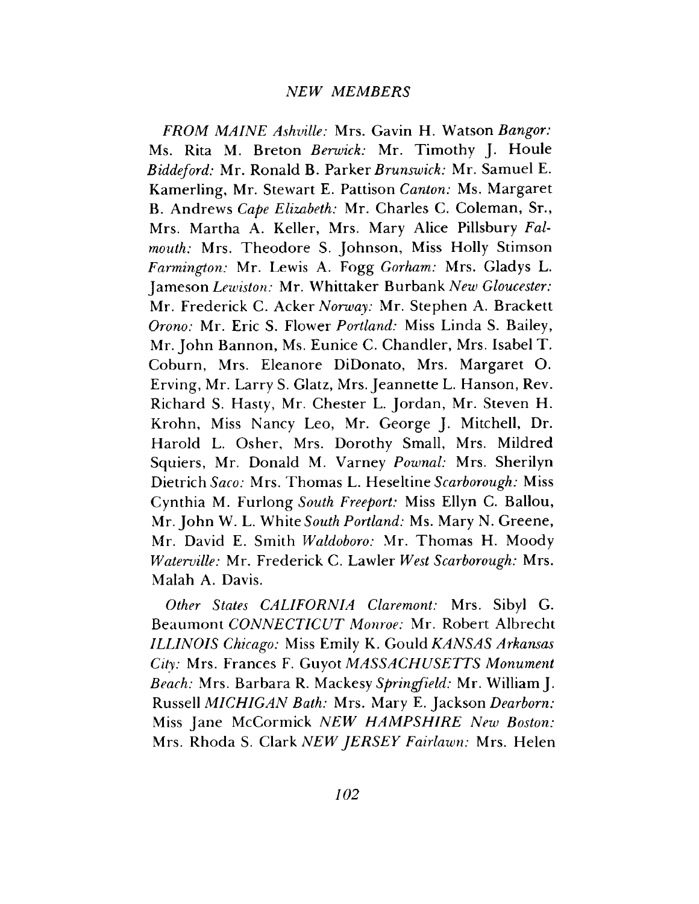#### *NEW MEMBERS*

*FROM MAINE Ashville:* Mrs. Gavin H. Watson *Bangor:* Ms. Rita M. Breton *Berwick:* Mr. Timothy J. Houle *Biddeford:* Mr. Ronald B. Parker *Brunswick:* Mr. Samuel E. Kamerling, Mr. Stewart E. Pattison *Canton:* Ms. Margaret B. Andrews *Cape Elizabeth:* Mr. Charles C. Coleman, Sr., Mrs. Martha A. Keller, Mrs. Mary Alice Pillsbury *Falmouth:* Mrs. Theodore S. Johnson, Miss Holly Stimson *Farmington:* Mr. Lewis A. Fogg *Gorham:* Mrs. Gladys L. Jameson *Lewiston:* Mr. Whittaker Burbank *New Gloucester:* Mr. Frederick C. Acker *Norway:* Mr. Stephen A. Brackett *Orono:* Mr. Eric S. Flower *Portland:* Miss Linda S. Bailey, Mr. John Bannon, Ms. Eunice C. Chandler, Mrs. Isabel T. Coburn, Mrs. Eleanore DiDonato, Mrs. Margaret O. Erving, Mr. Larry S. Glatz, Mrs. Jeannette L. Hanson, Rev. Richard S. Hasty, Mr. Chester L. Jordan, Mr. Steven H. Krohn, Miss Nancy Leo, Mr. George J. Mitchell, Dr. Harold L. Osher, Mrs. Dorothy Small, Mrs. Mildred Squiers, Mr. Donald M. Varney *Pownal:* Mrs. Sherilyn Dietrich Saco: Mrs. Thomas L. Heseltine *Scarborough:* Miss Cynthia M. Furlong *South Freeport:* Miss Ellyn C. Ballou, Mr. John W. L. White *South Portland:* Ms. Mary N. Greene, Mr. David E. Smith *Waldoboro:* Mr. Thomas H. Moody *Waterville:* Mr. Frederick C. Lawler *West Scarborough:* Mrs. Malah A. Davis.

*Other States CALIFORNIA Claremont:* Mrs. Sibyl G. Beaumont *CONNECTICUT Monroe:* Mr. Robert Albrecht *ILLINOIS Chicago:* Miss Emily K. Gould *KANSAS Arkansas City:* Mrs. Frances F. Guyot *MASSACHUSETTS Monument Beach:* Mrs. Barbara R. Mackesy *Springfield:* Mr. William J. Russell *MICHIGAN Bath:* Mrs. Mary E. Jackson *Dearborn:* Miss Jane McCormick *NEW HAMPSHIRE New Boston:* Mrs. Rhoda S. Clark *NEWJERSEY Fairlawn:* Mrs. Helen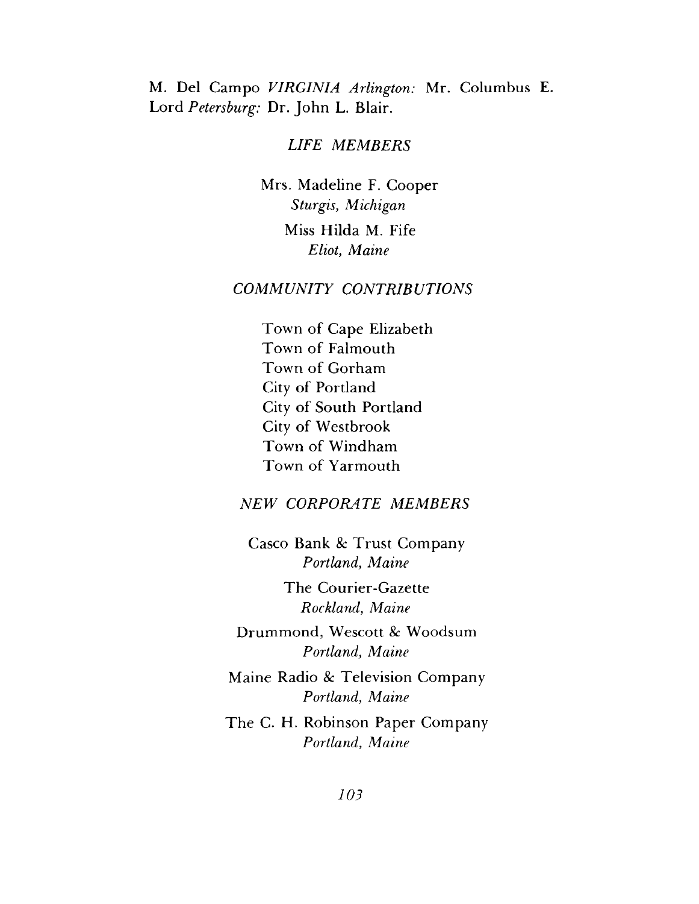M. Del Campo *VIRGINIA Arlington:* Mr. Columbus E. Lord *Petersburg:* Dr. John L. Blair.

### *LIFE MEMBERS*

Mrs. Madeline F. Cooper *Sturgis, Michigan* Miss Hilda M. Fife *Eliot, Maine*

## *COMMUNITY CONTRIBUTIONS*

Town of Cape Elizabeth Town of Falmouth Town of Gorham City of Portland City of South Portland City of Westbrook Town of Windham Town of Yarmouth

## *NEW CORPORATE MEMBERS*

Casco Bank & Trust Company *Portland, Maine*

> The Courier-Gazette *Rockland, Maine*

Drummond, Wescott & Woodsum *Portland, Maine*

Maine Radio & Television Company *Portland, Maine*

The C. H. Robinson Paper Company *Portland, Maine*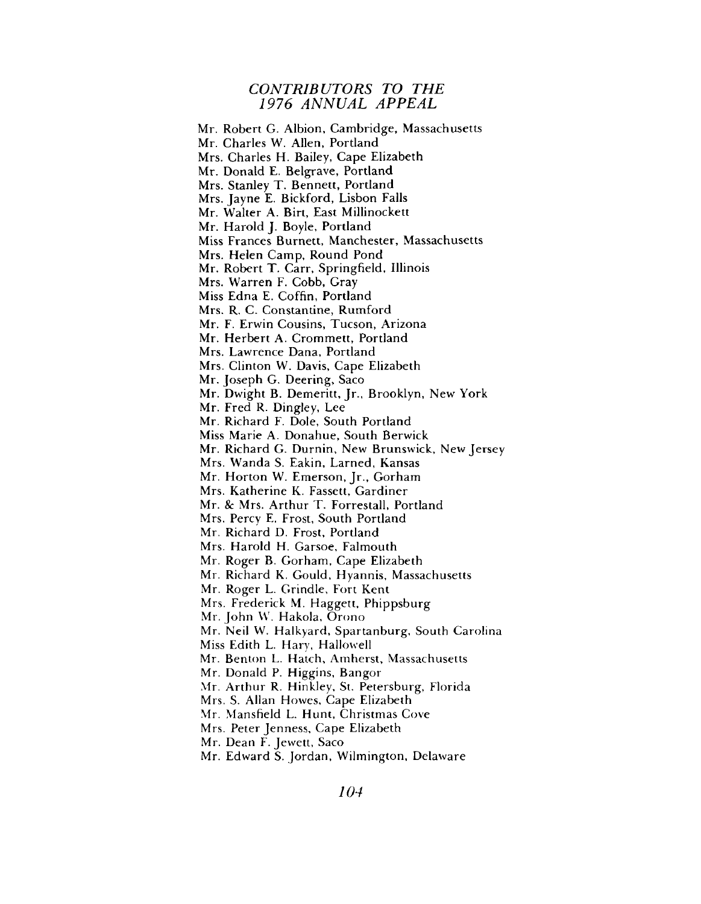#### *CONTRIBUTORS TO THE 1976 ANNUAL APPEAL*

Mr. Robert G. Albion, Cambridge, Massachusetts Mr. Charles W. Allen, Portland Mrs. Charles H. Bailey, Cape Elizabeth Mr. Donald E. Belgrave, Portland Mrs. Stanley T. Bennett, Portland Mrs. Jayne E. Bickford, Lisbon Falls Mr. Walter A. Birt, East Millinockett Mr. Harold J. Boyle, Portland Miss Frances Burnett, Manchester, Massachusetts Mrs. Helen Camp, Round Pond Mr. Robert T. Carr, Springfield, Illinois Mrs. Warren F. Cobb, Gray Miss Edna E. Coffin, Portland Mrs. R. C. Constantine, Rumford Mr. F. Erwin Cousins, Tucson, Arizona Mr. Herbert A. Crommett, Portland Mrs. Lawrence Dana, Portland Mrs. Clinton W. Davis, Cape Elizabeth Mr. Joseph G. Deering, Saco Mr. Dwight B. Demeritt, Jr., Brooklyn, New York Mr. Fred R. Dingley, Lee Mr. Richard F. Dole, South Portland Miss Marie A. Donahue, South Berwick Mr. Richard G. Durnin, New Brunswick, New Jersey Mrs. Wanda S. Eakin, Larned, Kansas Mr. Horton W. Emerson, Jr., Gorham Mrs. Katherine K. Fassett, Gardiner Mr. & Mrs. Arthur T. Forrestall, Portland Mrs. Percy E. Frost, South Portland Mr. Richard D. Frost, Portland Mrs. Harold H. Garsoe, Falmouth Mr. Roger B. Gorham, Cape Elizabeth Mr. Richard K. Gould, Hyannis, Massachusetts Mr. Roger L. Grindle, Fort Kent Mrs. Frederick M. Haggett, Phippsburg Mr. John W. Hakola, Orono Mr. Neil W. Halkyard, Spartanburg, South Carolina Miss Edith L. Hary, Hallowell Mr. Benton L. Hatch, Amherst, Massachusetts Mr. Donald P. Higgins, Bangor Mr. Arthur R. Hinkley, St. Petersburg, Florida Mrs. S. Allan Howes, Cape Elizabeth Mr. Mansfield L. Hunt, Christmas Cove Mrs. Peter Jenness, Cape Elizabeth Mr. Dean F. Jewett, Saco Mr. Edward S. Jordan, Wilmington, Delaware